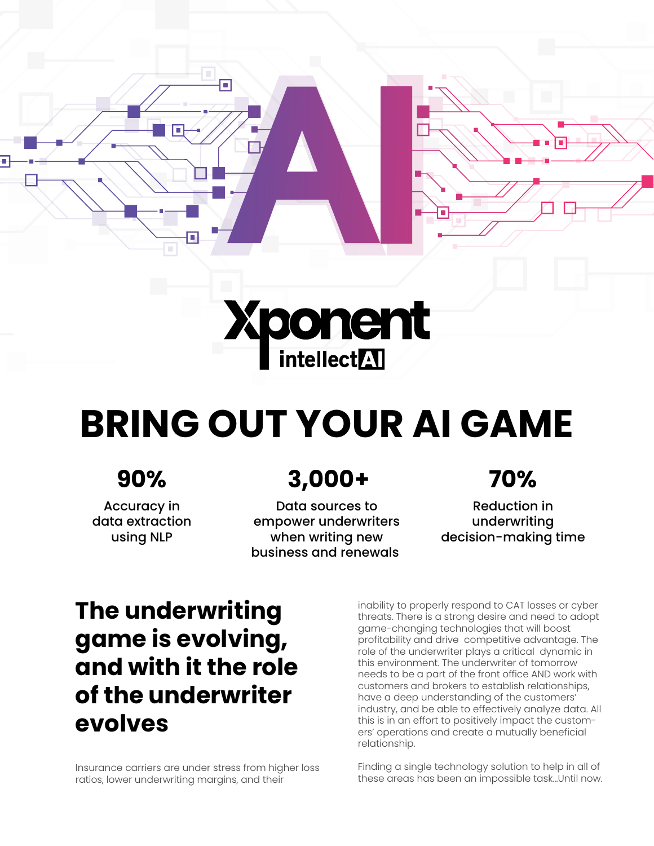



# **BRING OUT YOUR AI GAME**

### **90%**

Accuracy in data extraction using NLP

## **3,000+ 70%**

Data sources to empower underwriters when writing new business and renewals

Reduction in underwriting decision-making time

## **The underwriting game is evolving, and with it the role of the underwriter evolves**

Insurance carriers are under stress from higher loss ratios, lower underwriting margins, and their

inability to properly respond to CAT losses or cyber threats. There is a strong desire and need to adopt game-changing technologies that will boost profitability and drive competitive advantage. The role of the underwriter plays a critical dynamic in this environment. The underwriter of tomorrow needs to be a part of the front office AND work with customers and brokers to establish relationships, have a deep understanding of the customers' industry, and be able to effectively analyze data. All this is in an effort to positively impact the customers' operations and create a mutually beneficial relationship.

Finding a single technology solution to help in all of these areas has been an impossible task…Until now.